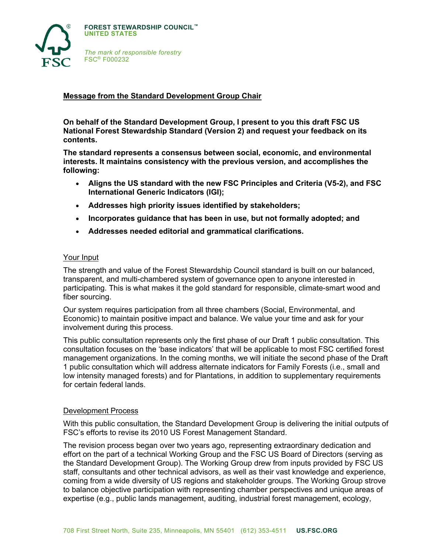

# **Message from the Standard Development Group Chair**

**On behalf of the Standard Development Group, I present to you this draft FSC US National Forest Stewardship Standard (Version 2) and request your feedback on its contents.**

**The standard represents a consensus between social, economic, and environmental interests. It maintains consistency with the previous version, and accomplishes the following:** 

- **Aligns the US standard with the new FSC Principles and Criteria (V5-2), and FSC International Generic Indicators (IGI);**
- **Addresses high priority issues identified by stakeholders;**
- **Incorporates guidance that has been in use, but not formally adopted; and**
- **Addresses needed editorial and grammatical clarifications.**

#### Your Input

The strength and value of the Forest Stewardship Council standard is built on our balanced, transparent, and multi-chambered system of governance open to anyone interested in participating. This is what makes it the gold standard for responsible, climate-smart wood and fiber sourcing.

Our system requires participation from all three chambers (Social, Environmental, and Economic) to maintain positive impact and balance. We value your time and ask for your involvement during this process.

This public consultation represents only the first phase of our Draft 1 public consultation. This consultation focuses on the 'base indicators' that will be applicable to most FSC certified forest management organizations. In the coming months, we will initiate the second phase of the Draft 1 public consultation which will address alternate indicators for Family Forests (i.e., small and low intensity managed forests) and for Plantations, in addition to supplementary requirements for certain federal lands.

### Development Process

With this public consultation, the Standard Development Group is delivering the initial outputs of FSC's efforts to revise its 2010 US Forest Management Standard.

The revision process began over two years ago, representing extraordinary dedication and effort on the part of a technical Working Group and the FSC US Board of Directors (serving as the Standard Development Group). The Working Group drew from inputs provided by FSC US staff, consultants and other technical advisors, as well as their vast knowledge and experience, coming from a wide diversity of US regions and stakeholder groups. The Working Group strove to balance objective participation with representing chamber perspectives and unique areas of expertise (e.g., public lands management, auditing, industrial forest management, ecology,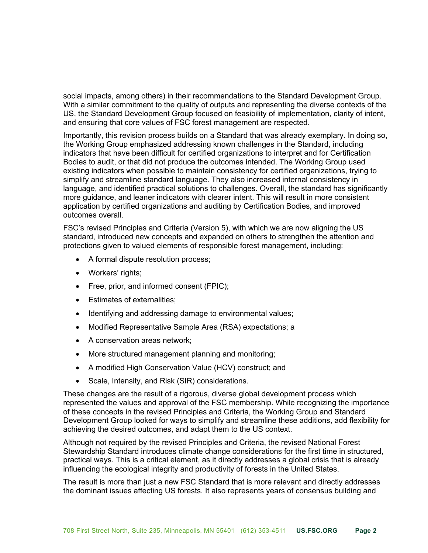social impacts, among others) in their recommendations to the Standard Development Group. With a similar commitment to the quality of outputs and representing the diverse contexts of the US, the Standard Development Group focused on feasibility of implementation, clarity of intent, and ensuring that core values of FSC forest management are respected.

Importantly, this revision process builds on a Standard that was already exemplary. In doing so, the Working Group emphasized addressing known challenges in the Standard, including indicators that have been difficult for certified organizations to interpret and for Certification Bodies to audit, or that did not produce the outcomes intended. The Working Group used existing indicators when possible to maintain consistency for certified organizations, trying to simplify and streamline standard language. They also increased internal consistency in language, and identified practical solutions to challenges. Overall, the standard has significantly more guidance, and leaner indicators with clearer intent. This will result in more consistent application by certified organizations and auditing by Certification Bodies, and improved outcomes overall.

FSC's revised Principles and Criteria (Version 5), with which we are now aligning the US standard, introduced new concepts and expanded on others to strengthen the attention and protections given to valued elements of responsible forest management, including:

- A formal dispute resolution process;
- Workers' rights;
- Free, prior, and informed consent (FPIC);
- Estimates of externalities;
- Identifying and addressing damage to environmental values;
- Modified Representative Sample Area (RSA) expectations; a
- A conservation areas network;
- More structured management planning and monitoring;
- A modified High Conservation Value (HCV) construct; and
- Scale, Intensity, and Risk (SIR) considerations.

These changes are the result of a rigorous, diverse global development process which represented the values and approval of the FSC membership. While recognizing the importance of these concepts in the revised Principles and Criteria, the Working Group and Standard Development Group looked for ways to simplify and streamline these additions, add flexibility for achieving the desired outcomes, and adapt them to the US context.

Although not required by the revised Principles and Criteria, the revised National Forest Stewardship Standard introduces climate change considerations for the first time in structured, practical ways. This is a critical element, as it directly addresses a global crisis that is already influencing the ecological integrity and productivity of forests in the United States.

The result is more than just a new FSC Standard that is more relevant and directly addresses the dominant issues affecting US forests. It also represents years of consensus building and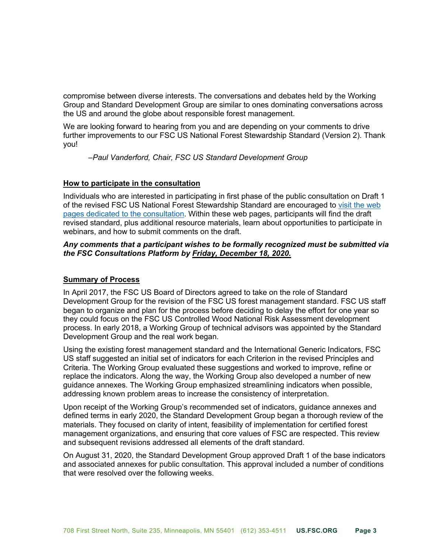compromise between diverse interests. The conversations and debates held by the Working Group and Standard Development Group are similar to ones dominating conversations across the US and around the globe about responsible forest management.

We are looking forward to hearing from you and are depending on your comments to drive further improvements to our FSC US National Forest Stewardship Standard (Version 2). Thank you!

*–Paul Vanderford, Chair, FSC US Standard Development Group*

# **How to participate in the consultation**

Individuals who are interested in participating in first phase of the public consultation on Draft 1 [of the revised FSC US National Forest Stewardship Standard are encouraged to visit the web](https://www.engage.us.fsc.org/)  pages dedicated to the consultation. Within these web pages, participants will find the draft revised standard, plus additional resource materials, learn about opportunities to participate in webinars, and how to submit comments on the draft.

# *Any comments that a participant wishes to be formally recognized must be submitted via the FSC Consultations Platform by Friday, December 18, 2020.*

# **Summary of Process**

In April 2017, the FSC US Board of Directors agreed to take on the role of Standard Development Group for the revision of the FSC US forest management standard. FSC US staff began to organize and plan for the process before deciding to delay the effort for one year so they could focus on the FSC US Controlled Wood National Risk Assessment development process. In early 2018, a Working Group of technical advisors was appointed by the Standard Development Group and the real work began.

Using the existing forest management standard and the International Generic Indicators, FSC US staff suggested an initial set of indicators for each Criterion in the revised Principles and Criteria. The Working Group evaluated these suggestions and worked to improve, refine or replace the indicators. Along the way, the Working Group also developed a number of new guidance annexes. The Working Group emphasized streamlining indicators when possible, addressing known problem areas to increase the consistency of interpretation.

Upon receipt of the Working Group's recommended set of indicators, guidance annexes and defined terms in early 2020, the Standard Development Group began a thorough review of the materials. They focused on clarity of intent, feasibility of implementation for certified forest management organizations, and ensuring that core values of FSC are respected. This review and subsequent revisions addressed all elements of the draft standard.

On August 31, 2020, the Standard Development Group approved Draft 1 of the base indicators and associated annexes for public consultation. This approval included a number of conditions that were resolved over the following weeks.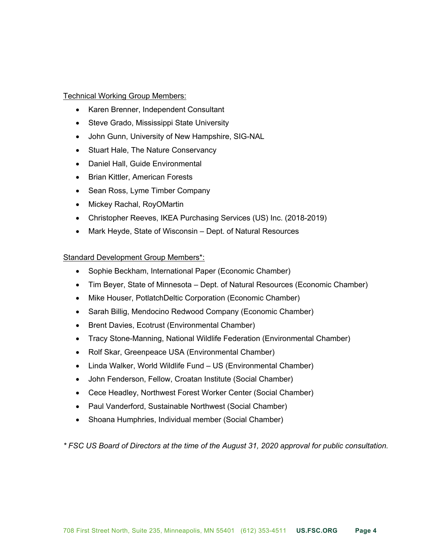### Technical Working Group Members:

- Karen Brenner, Independent Consultant
- Steve Grado, Mississippi State University
- John Gunn, University of New Hampshire, SIG-NAL
- Stuart Hale, The Nature Conservancy
- Daniel Hall, Guide Environmental
- Brian Kittler, American Forests
- Sean Ross, Lyme Timber Company
- Mickey Rachal, RoyOMartin
- Christopher Reeves, IKEA Purchasing Services (US) Inc. (2018-2019)
- Mark Heyde, State of Wisconsin Dept. of Natural Resources

### Standard Development Group Members\*:

- Sophie Beckham, International Paper (Economic Chamber)
- Tim Beyer, State of Minnesota Dept. of Natural Resources (Economic Chamber)
- Mike Houser, PotlatchDeltic Corporation (Economic Chamber)
- Sarah Billig, Mendocino Redwood Company (Economic Chamber)
- Brent Davies, Ecotrust (Environmental Chamber)
- Tracy Stone-Manning, National Wildlife Federation (Environmental Chamber)
- Rolf Skar, Greenpeace USA (Environmental Chamber)
- Linda Walker, World Wildlife Fund US (Environmental Chamber)
- John Fenderson, Fellow, Croatan Institute (Social Chamber)
- Cece Headley, Northwest Forest Worker Center (Social Chamber)
- Paul Vanderford, Sustainable Northwest (Social Chamber)
- Shoana Humphries, Individual member (Social Chamber)

*\* FSC US Board of Directors at the time of the August 31, 2020 approval for public consultation.*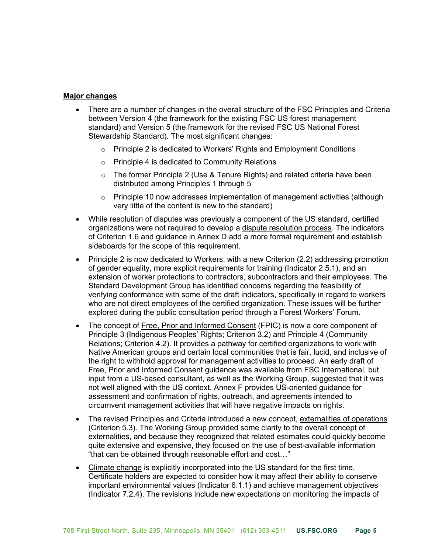### **Major changes**

- There are a number of changes in the overall structure of the FSC Principles and Criteria between Version 4 (the framework for the existing FSC US forest management standard) and Version 5 (the framework for the revised FSC US National Forest Stewardship Standard). The most significant changes:
	- o Principle 2 is dedicated to Workers' Rights and Employment Conditions
	- o Principle 4 is dedicated to Community Relations
	- $\circ$  The former Principle 2 (Use & Tenure Rights) and related criteria have been distributed among Principles 1 through 5
	- o Principle 10 now addresses implementation of management activities (although very little of the content is new to the standard)
- While resolution of disputes was previously a component of the US standard, certified organizations were not required to develop a dispute resolution process. The indicators of Criterion 1.6 and guidance in Annex D add a more formal requirement and establish sideboards for the scope of this requirement.
- Principle 2 is now dedicated to Workers, with a new Criterion (2.2) addressing promotion of gender equality, more explicit requirements for training (Indicator 2.5.1), and an extension of worker protections to contractors, subcontractors and their employees. The Standard Development Group has identified concerns regarding the feasibility of verifying conformance with some of the draft indicators, specifically in regard to workers who are not direct employees of the certified organization. These issues will be further explored during the public consultation period through a Forest Workers' Forum.
- The concept of Free, Prior and Informed Consent (FPIC) is now a core component of Principle 3 (Indigenous Peoples' Rights; Criterion 3.2) and Principle 4 (Community Relations; Criterion 4.2). It provides a pathway for certified organizations to work with Native American groups and certain local communities that is fair, lucid, and inclusive of the right to withhold approval for management activities to proceed. An early draft of Free, Prior and Informed Consent guidance was available from FSC International, but input from a US-based consultant, as well as the Working Group, suggested that it was not well aligned with the US context. Annex F provides US-oriented guidance for assessment and confirmation of rights, outreach, and agreements intended to circumvent management activities that will have negative impacts on rights.
- The revised Principles and Criteria introduced a new concept, externalities of operations (Criterion 5.3). The Working Group provided some clarity to the overall concept of externalities, and because they recognized that related estimates could quickly become quite extensive and expensive, they focused on the use of best-available information "that can be obtained through reasonable effort and cost…"
- Climate change is explicitly incorporated into the US standard for the first time. Certificate holders are expected to consider how it may affect their ability to conserve important environmental values (Indicator 6.1.1) and achieve management objectives (Indicator 7.2.4). The revisions include new expectations on monitoring the impacts of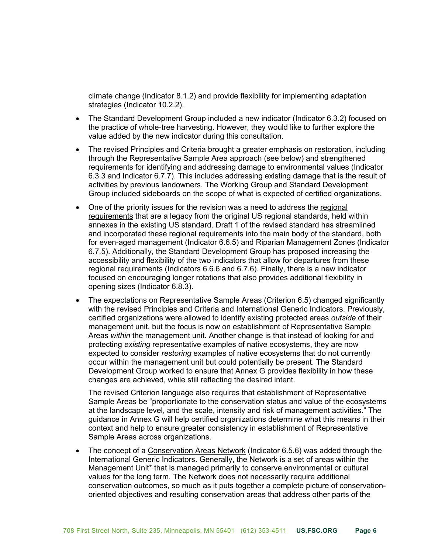climate change (Indicator 8.1.2) and provide flexibility for implementing adaptation strategies (Indicator 10.2.2).

- The Standard Development Group included a new indicator (Indicator 6.3.2) focused on the practice of whole-tree harvesting. However, they would like to further explore the value added by the new indicator during this consultation.
- The revised Principles and Criteria brought a greater emphasis on restoration, including through the Representative Sample Area approach (see below) and strengthened requirements for identifying and addressing damage to environmental values (Indicator 6.3.3 and Indicator 6.7.7). This includes addressing existing damage that is the result of activities by previous landowners. The Working Group and Standard Development Group included sideboards on the scope of what is expected of certified organizations.
- One of the priority issues for the revision was a need to address the regional requirements that are a legacy from the original US regional standards, held within annexes in the existing US standard. Draft 1 of the revised standard has streamlined and incorporated these regional requirements into the main body of the standard, both for even-aged management (Indicator 6.6.5) and Riparian Management Zones (Indicator 6.7.5). Additionally, the Standard Development Group has proposed increasing the accessibility and flexibility of the two indicators that allow for departures from these regional requirements (Indicators 6.6.6 and 6.7.6). Finally, there is a new indicator focused on encouraging longer rotations that also provides additional flexibility in opening sizes (Indicator 6.8.3).
- The expectations on Representative Sample Areas (Criterion 6.5) changed significantly with the revised Principles and Criteria and International Generic Indicators. Previously, certified organizations were allowed to identify existing protected areas *outside* of their management unit, but the focus is now on establishment of Representative Sample Areas *within* the management unit. Another change is that instead of looking for and protecting *existing* representative examples of native ecosystems, they are now expected to consider *restoring* examples of native ecosystems that do not currently occur within the management unit but could potentially be present. The Standard Development Group worked to ensure that Annex G provides flexibility in how these changes are achieved, while still reflecting the desired intent.

The revised Criterion language also requires that establishment of Representative Sample Areas be "proportionate to the conservation status and value of the ecosystems at the landscape level, and the scale, intensity and risk of management activities." The guidance in Annex G will help certified organizations determine what this means in their context and help to ensure greater consistency in establishment of Representative Sample Areas across organizations.

• The concept of a Conservation Areas Network (Indicator 6.5.6) was added through the International Generic Indicators. Generally, the Network is a set of areas within the Management Unit\* that is managed primarily to conserve environmental or cultural values for the long term. The Network does not necessarily require additional conservation outcomes, so much as it puts together a complete picture of conservationoriented objectives and resulting conservation areas that address other parts of the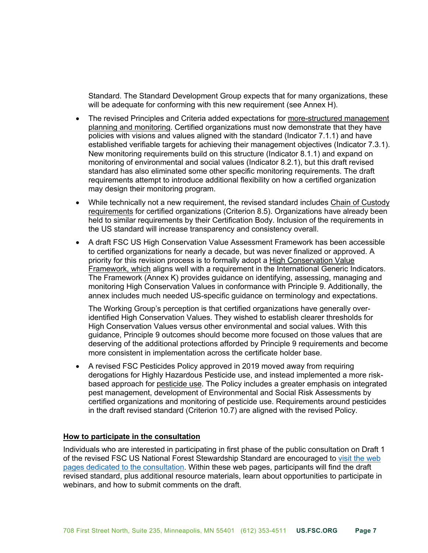Standard. The Standard Development Group expects that for many organizations, these will be adequate for conforming with this new requirement (see Annex H).

- The revised Principles and Criteria added expectations for more-structured management planning and monitoring. Certified organizations must now demonstrate that they have policies with visions and values aligned with the standard (Indicator 7.1.1) and have established verifiable targets for achieving their management objectives (Indicator 7.3.1). New monitoring requirements build on this structure (Indicator 8.1.1) and expand on monitoring of environmental and social values (Indicator 8.2.1), but this draft revised standard has also eliminated some other specific monitoring requirements. The draft requirements attempt to introduce additional flexibility on how a certified organization may design their monitoring program.
- While technically not a new requirement, the revised standard includes Chain of Custody requirements for certified organizations (Criterion 8.5). Organizations have already been held to similar requirements by their Certification Body. Inclusion of the requirements in the US standard will increase transparency and consistency overall.
- A draft FSC US High Conservation Value Assessment Framework has been accessible to certified organizations for nearly a decade, but was never finalized or approved. A priority for this revision process is to formally adopt a High Conservation Value Framework, which aligns well with a requirement in the International Generic Indicators. The Framework (Annex K) provides guidance on identifying, assessing, managing and monitoring High Conservation Values in conformance with Principle 9. Additionally, the annex includes much needed US-specific guidance on terminology and expectations.

The Working Group's perception is that certified organizations have generally overidentified High Conservation Values. They wished to establish clearer thresholds for High Conservation Values versus other environmental and social values. With this guidance, Principle 9 outcomes should become more focused on those values that are deserving of the additional protections afforded by Principle 9 requirements and become more consistent in implementation across the certificate holder base.

• A revised FSC Pesticides Policy approved in 2019 moved away from requiring derogations for Highly Hazardous Pesticide use, and instead implemented a more riskbased approach for pesticide use. The Policy includes a greater emphasis on integrated pest management, development of Environmental and Social Risk Assessments by certified organizations and monitoring of pesticide use. Requirements around pesticides in the draft revised standard (Criterion 10.7) are aligned with the revised Policy.

### **How to participate in the consultation**

Individuals who are interested in participating in first phase of the public consultation on Draft 1 [of the revised FSC US National Forest Stewardship Standard are encouraged to visit the web](https://www.engage.us.fsc.org/)  pages dedicated to the consultation. Within these web pages, participants will find the draft revised standard, plus additional resource materials, learn about opportunities to participate in webinars, and how to submit comments on the draft.